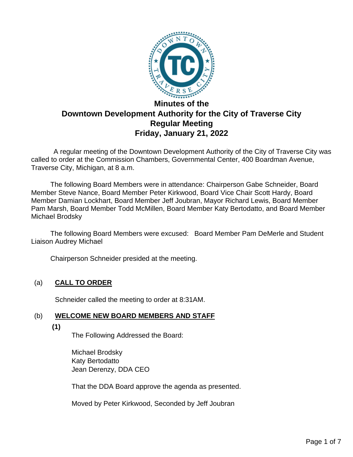

# **Downtown Development Authority for the City of Traverse City Regular Meeting Friday, January 21, 2022**

 A regular meeting of the Downtown Development Authority of the City of Traverse City was called to order at the Commission Chambers, Governmental Center, 400 Boardman Avenue, Traverse City, Michigan, at 8 a.m.

The following Board Members were in attendance: Chairperson Gabe Schneider, Board Member Steve Nance, Board Member Peter Kirkwood, Board Vice Chair Scott Hardy, Board Member Damian Lockhart, Board Member Jeff Joubran, Mayor Richard Lewis, Board Member Pam Marsh, Board Member Todd McMillen, Board Member Katy Bertodatto, and Board Member Michael Brodsky

 The following Board Members were excused: Board Member Pam DeMerle and Student Liaison Audrey Michael

Chairperson Schneider presided at the meeting.

# (a) **CALL TO ORDER**

Schneider called the meeting to order at 8:31AM.

# (b) **WELCOME NEW BOARD MEMBERS AND STAFF**

**(1)**

The Following Addressed the Board:

Michael Brodsky Katy Bertodatto Jean Derenzy, DDA CEO

That the DDA Board approve the agenda as presented.

Moved by Peter Kirkwood, Seconded by Jeff Joubran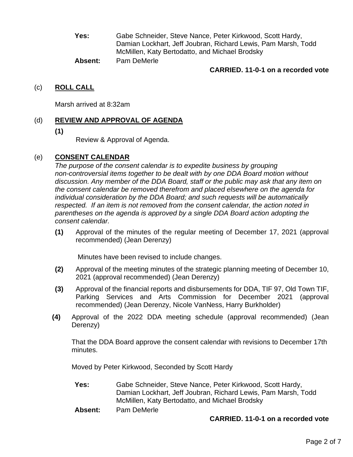**Yes:** Gabe Schneider, Steve Nance, Peter Kirkwood, Scott Hardy, Damian Lockhart, Jeff Joubran, Richard Lewis, Pam Marsh, Todd McMillen, Katy Bertodatto, and Michael Brodsky

**Absent:** Pam DeMerle

#### **CARRIED. 11-0-1 on a recorded vote**

#### (c) **ROLL CALL**

Marsh arrived at 8:32am

## (d) **REVIEW AND APPROVAL OF AGENDA**

**(1)**

Review & Approval of Agenda.

## (e) **CONSENT CALENDAR**

*The purpose of the consent calendar is to expedite business by grouping non-controversial items together to be dealt with by one DDA Board motion without discussion. Any member of the DDA Board, staff or the public may ask that any item on the consent calendar be removed therefrom and placed elsewhere on the agenda for individual consideration by the DDA Board; and such requests will be automatically respected. If an item is not removed from the consent calendar, the action noted in parentheses on the agenda is approved by a single DDA Board action adopting the consent calendar.*

**(1)** Approval of the minutes of the regular meeting of December 17, 2021 (approval recommended) (Jean Derenzy)

Minutes have been revised to include changes.

- **(2)** Approval of the meeting minutes of the strategic planning meeting of December 10, 2021 (approval recommended) (Jean Derenzy)
- **(3)** Approval of the financial reports and disbursements for DDA, TIF 97, Old Town TIF, Parking Services and Arts Commission for December 2021 (approval recommended) (Jean Derenzy, Nicole VanNess, Harry Burkholder)
- **(4)** Approval of the 2022 DDA meeting schedule (approval recommended) (Jean Derenzy)

That the DDA Board approve the consent calendar with revisions to December 17th minutes.

Moved by Peter Kirkwood, Seconded by Scott Hardy

**Yes:** Gabe Schneider, Steve Nance, Peter Kirkwood, Scott Hardy, Damian Lockhart, Jeff Joubran, Richard Lewis, Pam Marsh, Todd McMillen, Katy Bertodatto, and Michael Brodsky

**Absent:** Pam DeMerle

#### **CARRIED. 11-0-1 on a recorded vote**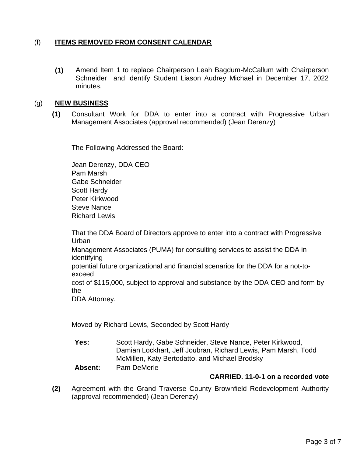# (f) **ITEMS REMOVED FROM CONSENT CALENDAR**

**(1)** Amend Item 1 to replace Chairperson Leah Bagdum-McCallum with Chairperson Schneider and identify Student Liason Audrey Michael in December 17, 2022 minutes.

#### (g) **NEW BUSINESS**

**(1)** Consultant Work for DDA to enter into a contract with Progressive Urban Management Associates (approval recommended) (Jean Derenzy)

The Following Addressed the Board:

Jean Derenzy, DDA CEO Pam Marsh Gabe Schneider Scott Hardy Peter Kirkwood Steve Nance Richard Lewis

That the DDA Board of Directors approve to enter into a contract with Progressive Urban Management Associates (PUMA) for consulting services to assist the DDA in identifying potential future organizational and financial scenarios for the DDA for a not-toexceed cost of \$115,000, subject to approval and substance by the DDA CEO and form by the DDA Attorney.

Moved by Richard Lewis, Seconded by Scott Hardy

**Yes:** Scott Hardy, Gabe Schneider, Steve Nance, Peter Kirkwood, Damian Lockhart, Jeff Joubran, Richard Lewis, Pam Marsh, Todd McMillen, Katy Bertodatto, and Michael Brodsky

**Absent:** Pam DeMerle

# **CARRIED. 11-0-1 on a recorded vote**

**(2)** Agreement with the Grand Traverse County Brownfield Redevelopment Authority (approval recommended) (Jean Derenzy)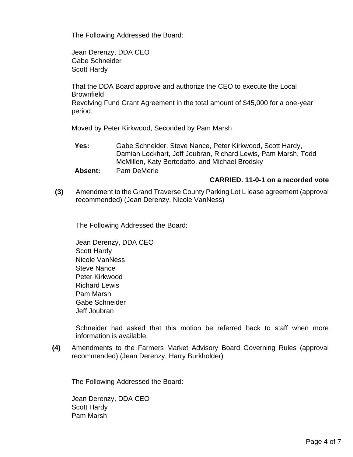The Following Addressed the Board:

Jean Derenzy, DDA CEO Gabe Schneider Scott Hardy

That the DDA Board approve and authorize the CEO to execute the Local **Brownfield** 

Revolving Fund Grant Agreement in the total amount of \$45,000 for a one-year period.

Moved by Peter Kirkwood, Seconded by Pam Marsh

**Yes:** Gabe Schneider, Steve Nance, Peter Kirkwood, Scott Hardy, Damian Lockhart, Jeff Joubran, Richard Lewis, Pam Marsh, Todd McMillen, Katy Bertodatto, and Michael Brodsky

**Absent:** Pam DeMerle

#### **CARRIED. 11-0-1 on a recorded vote**

**(3)** Amendment to the Grand Traverse County Parking Lot L lease agreement (approval recommended) (Jean Derenzy, Nicole VanNess)

The Following Addressed the Board:

Jean Derenzy, DDA CEO Scott Hardy Nicole VanNess Steve Nance Peter Kirkwood Richard Lewis Pam Marsh Gabe Schneider Jeff Joubran

Schneider had asked that this motion be referred back to staff when more information is available.

**(4)** Amendments to the Farmers Market Advisory Board Governing Rules (approval recommended) (Jean Derenzy, Harry Burkholder)

The Following Addressed the Board:

Jean Derenzy, DDA CEO Scott Hardy Pam Marsh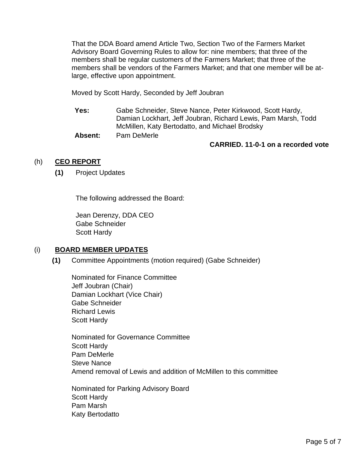That the DDA Board amend Article Two, Section Two of the Farmers Market Advisory Board Governing Rules to allow for: nine members; that three of the members shall be regular customers of the Farmers Market; that three of the members shall be vendors of the Farmers Market; and that one member will be atlarge, effective upon appointment.

Moved by Scott Hardy, Seconded by Jeff Joubran

**Yes:** Gabe Schneider, Steve Nance, Peter Kirkwood, Scott Hardy, Damian Lockhart, Jeff Joubran, Richard Lewis, Pam Marsh, Todd McMillen, Katy Bertodatto, and Michael Brodsky

**Absent:** Pam DeMerle

#### **CARRIED. 11-0-1 on a recorded vote**

## (h) **CEO REPORT**

**(1)** Project Updates

The following addressed the Board:

Jean Derenzy, DDA CEO Gabe Schneider Scott Hardy

#### (i) **BOARD MEMBER UPDATES**

**(1)** Committee Appointments (motion required) (Gabe Schneider)

Nominated for Finance Committee Jeff Joubran (Chair) Damian Lockhart (Vice Chair) Gabe Schneider Richard Lewis Scott Hardy

Nominated for Governance Committee Scott Hardy Pam DeMerle Steve Nance Amend removal of Lewis and addition of McMillen to this committee

Nominated for Parking Advisory Board Scott Hardy Pam Marsh Katy Bertodatto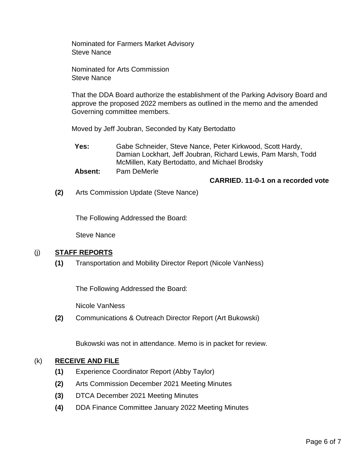Nominated for Farmers Market Advisory Steve Nance

Nominated for Arts Commission Steve Nance

That the DDA Board authorize the establishment of the Parking Advisory Board and approve the proposed 2022 members as outlined in the memo and the amended Governing committee members.

Moved by Jeff Joubran, Seconded by Katy Bertodatto

**Yes:** Gabe Schneider, Steve Nance, Peter Kirkwood, Scott Hardy, Damian Lockhart, Jeff Joubran, Richard Lewis, Pam Marsh, Todd McMillen, Katy Bertodatto, and Michael Brodsky

**Absent:** Pam DeMerle

**CARRIED. 11-0-1 on a recorded vote**

**(2)** Arts Commission Update (Steve Nance)

The Following Addressed the Board:

Steve Nance

#### (j) **STAFF REPORTS**

**(1)** Transportation and Mobility Director Report (Nicole VanNess)

The Following Addressed the Board:

Nicole VanNess

**(2)** Communications & Outreach Director Report (Art Bukowski)

Bukowski was not in attendance. Memo is in packet for review.

#### (k) **RECEIVE AND FILE**

- **(1)** Experience Coordinator Report (Abby Taylor)
- **(2)** Arts Commission December 2021 Meeting Minutes
- **(3)** DTCA December 2021 Meeting Minutes
- **(4)** DDA Finance Committee January 2022 Meeting Minutes